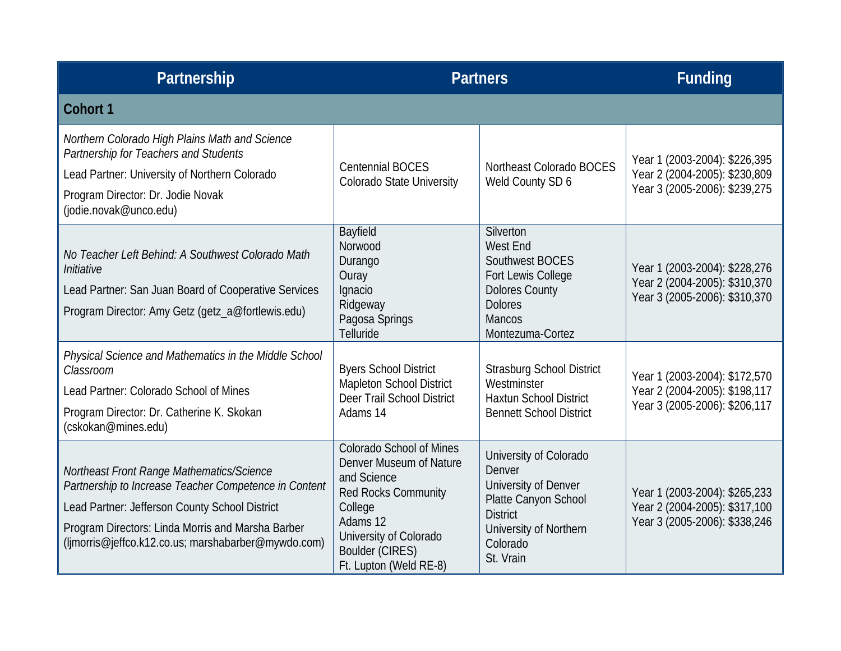| Partnership                                                                                                                                                                                                                                                      |                                                                                                                                                                                                       | <b>Partners</b>                                                                                                                                        | <b>Funding</b>                                                                                  |
|------------------------------------------------------------------------------------------------------------------------------------------------------------------------------------------------------------------------------------------------------------------|-------------------------------------------------------------------------------------------------------------------------------------------------------------------------------------------------------|--------------------------------------------------------------------------------------------------------------------------------------------------------|-------------------------------------------------------------------------------------------------|
| Cohort 1                                                                                                                                                                                                                                                         |                                                                                                                                                                                                       |                                                                                                                                                        |                                                                                                 |
| Northern Colorado High Plains Math and Science<br>Partnership for Teachers and Students<br>Lead Partner: University of Northern Colorado<br>Program Director: Dr. Jodie Novak<br>(jodie.novak@unco.edu)                                                          | <b>Centennial BOCES</b><br><b>Colorado State University</b>                                                                                                                                           | Northeast Colorado BOCES<br>Weld County SD 6                                                                                                           | Year 1 (2003-2004): \$226,395<br>Year 2 (2004-2005): \$230,809<br>Year 3 (2005-2006): \$239,275 |
| No Teacher Left Behind: A Southwest Colorado Math<br>Initiative<br>Lead Partner: San Juan Board of Cooperative Services<br>Program Director: Amy Getz (getz_a@fortlewis.edu)                                                                                     | Bayfield<br>Norwood<br>Durango<br>Ouray<br>Ignacio<br>Ridgeway<br>Pagosa Springs<br>Telluride                                                                                                         | Silverton<br>West End<br>Southwest BOCES<br>Fort Lewis College<br><b>Dolores County</b><br><b>Dolores</b><br><b>Mancos</b><br>Montezuma-Cortez         | Year 1 (2003-2004): \$228,276<br>Year 2 (2004-2005): \$310,370<br>Year 3 (2005-2006): \$310,370 |
| Physical Science and Mathematics in the Middle School<br>Classroom<br>Lead Partner: Colorado School of Mines<br>Program Director: Dr. Catherine K. Skokan<br>(cskokan@mines.edu)                                                                                 | <b>Byers School District</b><br><b>Mapleton School District</b><br>Deer Trail School District<br>Adams 14                                                                                             | <b>Strasburg School District</b><br>Westminster<br><b>Haxtun School District</b><br><b>Bennett School District</b>                                     | Year 1 (2003-2004): \$172,570<br>Year 2 (2004-2005): \$198,117<br>Year 3 (2005-2006): \$206,117 |
| Northeast Front Range Mathematics/Science<br>Partnership to Increase Teacher Competence in Content<br>Lead Partner: Jefferson County School District<br>Program Directors: Linda Morris and Marsha Barber<br>(ljmorris@jeffco.k12.co.us; marshabarber@mywdo.com) | <b>Colorado School of Mines</b><br>Denver Museum of Nature<br>and Science<br>Red Rocks Community<br>College<br>Adams 12<br>University of Colorado<br><b>Boulder (CIRES)</b><br>Ft. Lupton (Weld RE-8) | University of Colorado<br>Denver<br>University of Denver<br>Platte Canyon School<br><b>District</b><br>University of Northern<br>Colorado<br>St. Vrain | Year 1 (2003-2004): \$265,233<br>Year 2 (2004-2005): \$317,100<br>Year 3 (2005-2006): \$338,246 |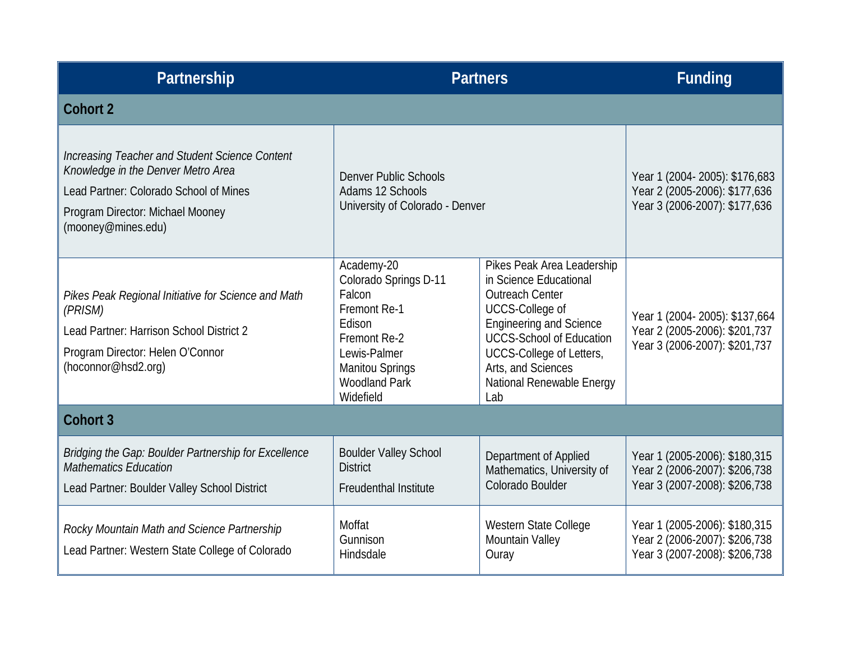| Partnership                                                                                                                                                                              | <b>Partners</b>                                                                                                                                                        |                                                                                                                                                                                                                                                                     | <b>Funding</b>                                                                                  |
|------------------------------------------------------------------------------------------------------------------------------------------------------------------------------------------|------------------------------------------------------------------------------------------------------------------------------------------------------------------------|---------------------------------------------------------------------------------------------------------------------------------------------------------------------------------------------------------------------------------------------------------------------|-------------------------------------------------------------------------------------------------|
| Cohort 2                                                                                                                                                                                 |                                                                                                                                                                        |                                                                                                                                                                                                                                                                     |                                                                                                 |
| Increasing Teacher and Student Science Content<br>Knowledge in the Denver Metro Area<br>Lead Partner: Colorado School of Mines<br>Program Director: Michael Mooney<br>(mooney@mines.edu) | <b>Denver Public Schools</b><br>Adams 12 Schools<br>University of Colorado - Denver                                                                                    |                                                                                                                                                                                                                                                                     | Year 1 (2004-2005): \$176,683<br>Year 2 (2005-2006): \$177,636<br>Year 3 (2006-2007): \$177,636 |
| Pikes Peak Regional Initiative for Science and Math<br>(PRISM)<br>Lead Partner: Harrison School District 2<br>Program Director: Helen O'Connor<br>(hoconnor@hsd2.org)                    | Academy-20<br>Colorado Springs D-11<br>Falcon<br>Fremont Re-1<br>Edison<br>Fremont Re-2<br>Lewis-Palmer<br><b>Manitou Springs</b><br><b>Woodland Park</b><br>Widefield | Pikes Peak Area Leadership<br>in Science Educational<br><b>Outreach Center</b><br><b>UCCS-College of</b><br><b>Engineering and Science</b><br><b>UCCS-School of Education</b><br>UCCS-College of Letters,<br>Arts, and Sciences<br>National Renewable Energy<br>Lab | Year 1 (2004-2005): \$137,664<br>Year 2 (2005-2006): \$201,737<br>Year 3 (2006-2007): \$201,737 |
| <b>Cohort 3</b>                                                                                                                                                                          |                                                                                                                                                                        |                                                                                                                                                                                                                                                                     |                                                                                                 |
| Bridging the Gap: Boulder Partnership for Excellence<br><b>Mathematics Education</b><br>Lead Partner: Boulder Valley School District                                                     | <b>Boulder Valley School</b><br><b>District</b><br><b>Freudenthal Institute</b>                                                                                        | Department of Applied<br>Mathematics, University of<br>Colorado Boulder                                                                                                                                                                                             | Year 1 (2005-2006): \$180,315<br>Year 2 (2006-2007): \$206,738<br>Year 3 (2007-2008): \$206,738 |
| Rocky Mountain Math and Science Partnership<br>Lead Partner: Western State College of Colorado                                                                                           | Moffat<br>Gunnison<br>Hindsdale                                                                                                                                        | Western State College<br>Mountain Valley<br>Ouray                                                                                                                                                                                                                   | Year 1 (2005-2006): \$180,315<br>Year 2 (2006-2007): \$206,738<br>Year 3 (2007-2008): \$206,738 |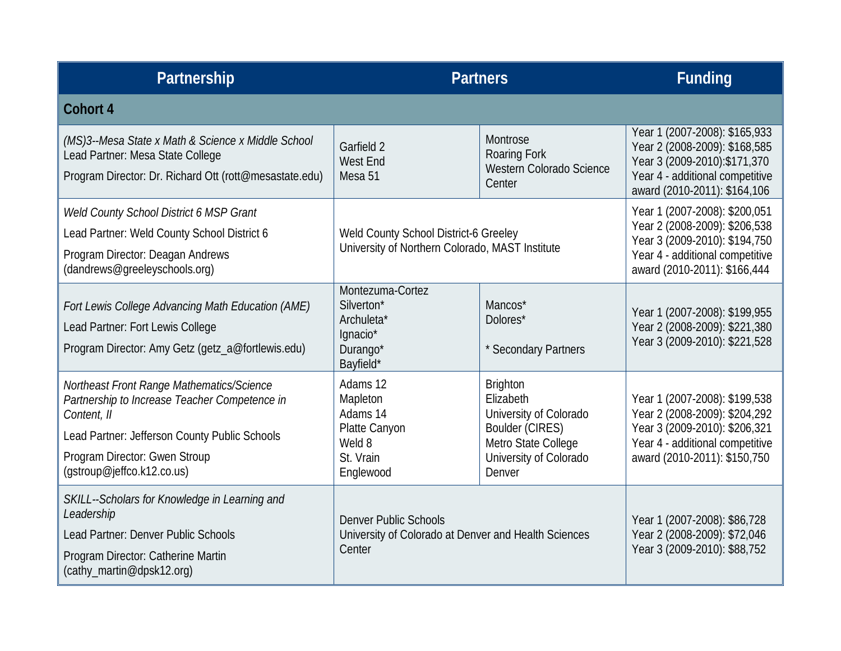| Partnership                                                                                                                                                                                                               | <b>Partners</b>                                                                                |                                                                                                                                      | <b>Funding</b>                                                                                                                                                      |
|---------------------------------------------------------------------------------------------------------------------------------------------------------------------------------------------------------------------------|------------------------------------------------------------------------------------------------|--------------------------------------------------------------------------------------------------------------------------------------|---------------------------------------------------------------------------------------------------------------------------------------------------------------------|
| Cohort 4                                                                                                                                                                                                                  |                                                                                                |                                                                                                                                      |                                                                                                                                                                     |
| (MS)3--Mesa State x Math & Science x Middle School<br>Lead Partner: Mesa State College<br>Program Director: Dr. Richard Ott (rott@mesastate.edu)                                                                          | Garfield 2<br><b>West End</b><br>Mesa 51                                                       | Montrose<br>Roaring Fork<br>Western Colorado Science<br>Center                                                                       | Year 1 (2007-2008): \$165,933<br>Year 2 (2008-2009): \$168,585<br>Year 3 (2009-2010): \$171, 370<br>Year 4 - additional competitive<br>award (2010-2011): \$164,106 |
| Weld County School District 6 MSP Grant<br>Lead Partner: Weld County School District 6<br>Program Director: Deagan Andrews<br>(dandrews@greeleyschools.org)                                                               | Weld County School District-6 Greeley<br>University of Northern Colorado, MAST Institute       |                                                                                                                                      | Year 1 (2007-2008): \$200,051<br>Year 2 (2008-2009): \$206,538<br>Year 3 (2009-2010): \$194,750<br>Year 4 - additional competitive<br>award (2010-2011): \$166,444  |
| Fort Lewis College Advancing Math Education (AME)<br>Lead Partner: Fort Lewis College<br>Program Director: Amy Getz (getz_a@fortlewis.edu)                                                                                | Montezuma-Cortez<br>Silverton*<br>Archuleta*<br>Ignacio*<br>Durango*<br>Bayfield*              | Mancos*<br>Dolores*<br>* Secondary Partners                                                                                          | Year 1 (2007-2008): \$199,955<br>Year 2 (2008-2009): \$221,380<br>Year 3 (2009-2010): \$221,528                                                                     |
| Northeast Front Range Mathematics/Science<br>Partnership to Increase Teacher Competence in<br>Content, II<br>Lead Partner: Jefferson County Public Schools<br>Program Director: Gwen Stroup<br>(gstroup@jeffco.k12.co.us) | Adams 12<br>Mapleton<br>Adams 14<br>Platte Canyon<br>Weld 8<br>St. Vrain<br>Englewood          | <b>Brighton</b><br>Elizabeth<br>University of Colorado<br>Boulder (CIRES)<br>Metro State College<br>University of Colorado<br>Denver | Year 1 (2007-2008): \$199,538<br>Year 2 (2008-2009): \$204,292<br>Year 3 (2009-2010): \$206,321<br>Year 4 - additional competitive<br>award (2010-2011): \$150,750  |
| SKILL--Scholars for Knowledge in Learning and<br>Leadership<br>Lead Partner: Denver Public Schools<br>Program Director: Catherine Martin<br>(cathy_martin@dpsk12.org)                                                     | <b>Denver Public Schools</b><br>University of Colorado at Denver and Health Sciences<br>Center |                                                                                                                                      | Year 1 (2007-2008): \$86,728<br>Year 2 (2008-2009): \$72,046<br>Year 3 (2009-2010): \$88,752                                                                        |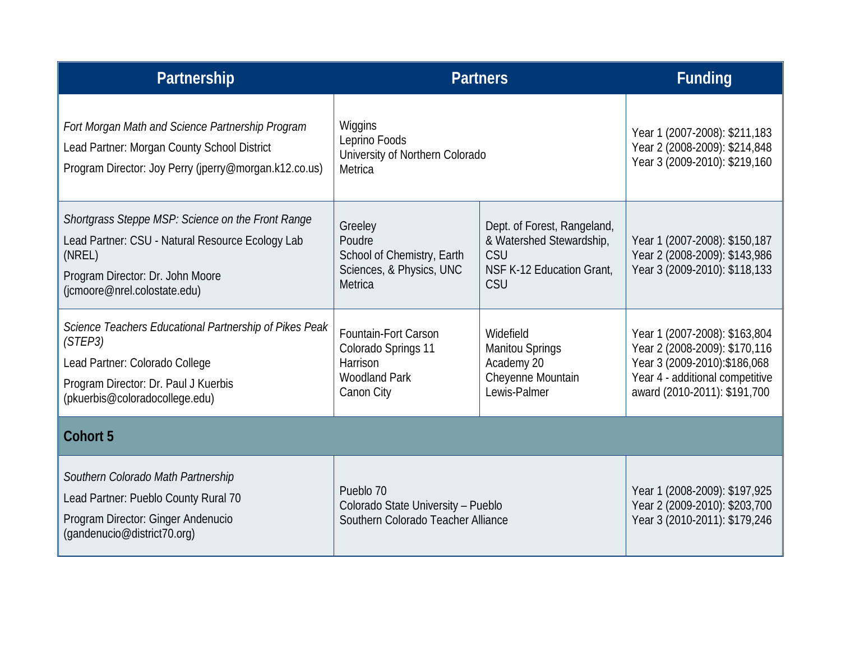| Partnership                                                                                                                                                                         | <b>Partners</b>                                                                               |                                                                                                    | <b>Funding</b>                                                                                                                                                      |
|-------------------------------------------------------------------------------------------------------------------------------------------------------------------------------------|-----------------------------------------------------------------------------------------------|----------------------------------------------------------------------------------------------------|---------------------------------------------------------------------------------------------------------------------------------------------------------------------|
| Fort Morgan Math and Science Partnership Program<br>Lead Partner: Morgan County School District<br>Program Director: Joy Perry (jperry@morgan.k12.co.us)                            | Wiggins<br>Leprino Foods<br>University of Northern Colorado<br>Metrica                        |                                                                                                    | Year 1 (2007-2008): \$211,183<br>Year 2 (2008-2009): \$214,848<br>Year 3 (2009-2010): \$219,160                                                                     |
| Shortgrass Steppe MSP: Science on the Front Range<br>Lead Partner: CSU - Natural Resource Ecology Lab<br>(NREL)<br>Program Director: Dr. John Moore<br>(jcmoore@nrel.colostate.edu) | Greeley<br>Poudre<br>School of Chemistry, Earth<br>Sciences, & Physics, UNC<br>Metrica        | Dept. of Forest, Rangeland,<br>& Watershed Stewardship,<br>CSU<br>NSF K-12 Education Grant,<br>CSU | Year 1 (2007-2008): \$150,187<br>Year 2 (2008-2009): \$143,986<br>Year 3 (2009-2010): \$118,133                                                                     |
| Science Teachers Educational Partnership of Pikes Peak<br>(STEP3)<br>Lead Partner: Colorado College<br>Program Director: Dr. Paul J Kuerbis<br>(pkuerbis@coloradocollege.edu)       | Fountain-Fort Carson<br>Colorado Springs 11<br>Harrison<br><b>Woodland Park</b><br>Canon City | Widefield<br><b>Manitou Springs</b><br>Academy 20<br>Cheyenne Mountain<br>Lewis-Palmer             | Year 1 (2007-2008): \$163,804<br>Year 2 (2008-2009): \$170,116<br>Year 3 (2009-2010): \$186, 068<br>Year 4 - additional competitive<br>award (2010-2011): \$191,700 |
| <b>Cohort 5</b>                                                                                                                                                                     |                                                                                               |                                                                                                    |                                                                                                                                                                     |
| Southern Colorado Math Partnership<br>Lead Partner: Pueblo County Rural 70<br>Program Director: Ginger Andenucio<br>(gandenucio@district70.org)                                     | Pueblo 70<br>Colorado State University - Pueblo<br>Southern Colorado Teacher Alliance         |                                                                                                    | Year 1 (2008-2009): \$197,925<br>Year 2 (2009-2010): \$203,700<br>Year 3 (2010-2011): \$179,246                                                                     |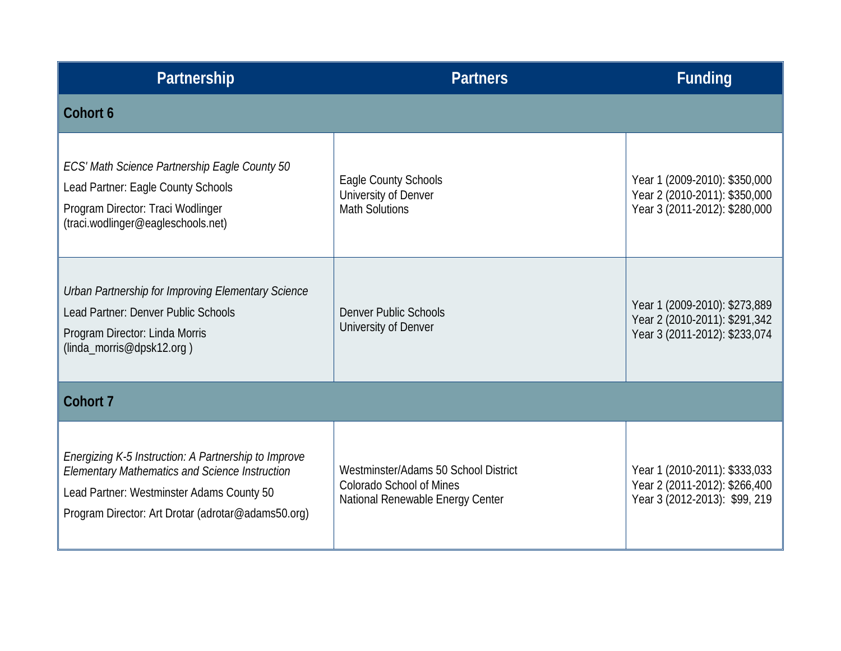| Partnership                                                                                                                                                                                                      | <b>Partners</b>                                                                                             | <b>Funding</b>                                                                                  |
|------------------------------------------------------------------------------------------------------------------------------------------------------------------------------------------------------------------|-------------------------------------------------------------------------------------------------------------|-------------------------------------------------------------------------------------------------|
| Cohort 6                                                                                                                                                                                                         |                                                                                                             |                                                                                                 |
| ECS' Math Science Partnership Eagle County 50<br>Lead Partner: Eagle County Schools<br>Program Director: Traci Wodlinger<br>(traci.wodlinger@eagleschools.net)                                                   | Eagle County Schools<br>University of Denver<br><b>Math Solutions</b>                                       | Year 1 (2009-2010): \$350,000<br>Year 2 (2010-2011): \$350,000<br>Year 3 (2011-2012): \$280,000 |
| Urban Partnership for Improving Elementary Science<br>Lead Partner: Denver Public Schools<br>Program Director: Linda Morris<br>(linda_morris@dpsk12.org)                                                         | Denver Public Schools<br>University of Denver                                                               | Year 1 (2009-2010): \$273,889<br>Year 2 (2010-2011): \$291,342<br>Year 3 (2011-2012): \$233,074 |
| Cohort 7                                                                                                                                                                                                         |                                                                                                             |                                                                                                 |
| Energizing K-5 Instruction: A Partnership to Improve<br><b>Elementary Mathematics and Science Instruction</b><br>Lead Partner: Westminster Adams County 50<br>Program Director: Art Drotar (adrotar@adams50.org) | Westminster/Adams 50 School District<br><b>Colorado School of Mines</b><br>National Renewable Energy Center | Year 1 (2010-2011): \$333,033<br>Year 2 (2011-2012): \$266,400<br>Year 3 (2012-2013): \$99, 219 |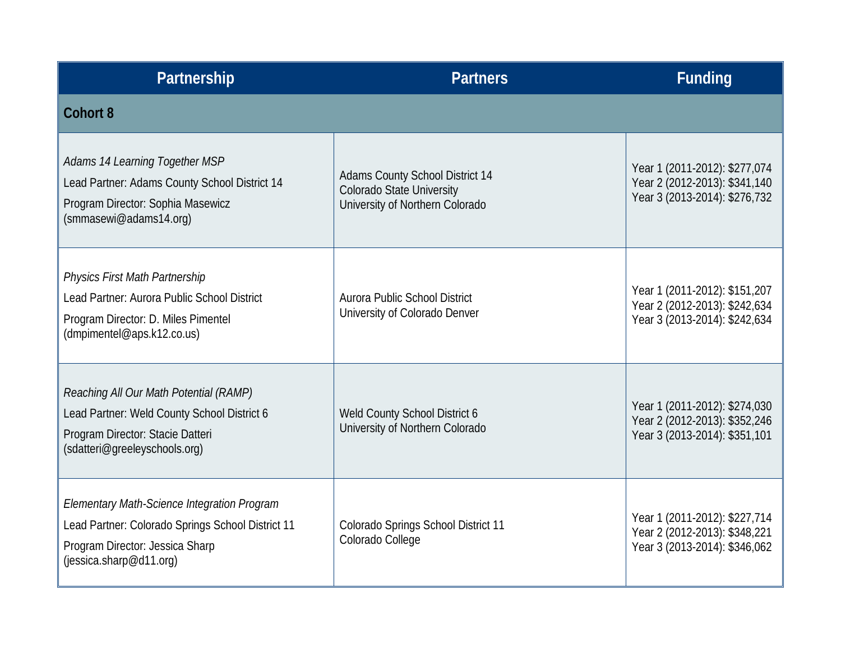| Partnership                                                                                                                                                    | <b>Partners</b>                                                                                        | <b>Funding</b>                                                                                  |
|----------------------------------------------------------------------------------------------------------------------------------------------------------------|--------------------------------------------------------------------------------------------------------|-------------------------------------------------------------------------------------------------|
| <b>Cohort 8</b>                                                                                                                                                |                                                                                                        |                                                                                                 |
| Adams 14 Learning Together MSP<br>Lead Partner: Adams County School District 14<br>Program Director: Sophia Masewicz<br>(smmasewi@adams14.org)                 | <b>Adams County School District 14</b><br>Colorado State University<br>University of Northern Colorado | Year 1 (2011-2012): \$277,074<br>Year 2 (2012-2013): \$341,140<br>Year 3 (2013-2014): \$276,732 |
| <b>Physics First Math Partnership</b><br>Lead Partner: Aurora Public School District<br>Program Director: D. Miles Pimentel<br>(dmpimentel@aps.k12.co.us)      | Aurora Public School District<br>University of Colorado Denver                                         | Year 1 (2011-2012): \$151,207<br>Year 2 (2012-2013): \$242,634<br>Year 3 (2013-2014): \$242,634 |
| Reaching All Our Math Potential (RAMP)<br>Lead Partner: Weld County School District 6<br>Program Director: Stacie Datteri<br>(sdatteri@greeleyschools.org)     | Weld County School District 6<br>University of Northern Colorado                                       | Year 1 (2011-2012): \$274,030<br>Year 2 (2012-2013): \$352,246<br>Year 3 (2013-2014): \$351,101 |
| Elementary Math-Science Integration Program<br>Lead Partner: Colorado Springs School District 11<br>Program Director: Jessica Sharp<br>(jessica.sharp@d11.org) | Colorado Springs School District 11<br>Colorado College                                                | Year 1 (2011-2012): \$227,714<br>Year 2 (2012-2013): \$348,221<br>Year 3 (2013-2014): \$346,062 |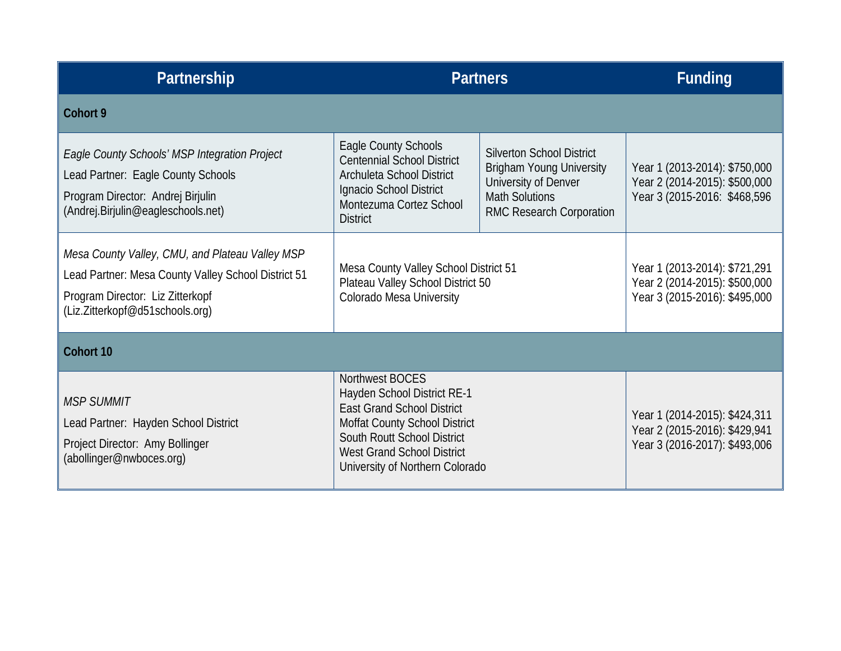| Partnership                                                                                                                                                                   | <b>Partners</b>                                                                                                                                                                                                             |                                                                                                                                                  | <b>Funding</b>                                                                                  |
|-------------------------------------------------------------------------------------------------------------------------------------------------------------------------------|-----------------------------------------------------------------------------------------------------------------------------------------------------------------------------------------------------------------------------|--------------------------------------------------------------------------------------------------------------------------------------------------|-------------------------------------------------------------------------------------------------|
| Cohort 9                                                                                                                                                                      |                                                                                                                                                                                                                             |                                                                                                                                                  |                                                                                                 |
| Eagle County Schools' MSP Integration Project<br>Lead Partner: Eagle County Schools<br>Program Director: Andrej Birjulin<br>(Andrej.Birjulin@eagleschools.net)                | Eagle County Schools<br><b>Centennial School District</b><br>Archuleta School District<br>Ignacio School District<br>Montezuma Cortez School<br><b>District</b>                                                             | <b>Silverton School District</b><br><b>Brigham Young University</b><br>University of Denver<br><b>Math Solutions</b><br>RMC Research Corporation | Year 1 (2013-2014): \$750,000<br>Year 2 (2014-2015): \$500,000<br>Year 3 (2015-2016: \$468,596  |
| Mesa County Valley, CMU, and Plateau Valley MSP<br>Lead Partner: Mesa County Valley School District 51<br>Program Director: Liz Zitterkopf<br>(Liz.Zitterkopf@d51schools.org) | Mesa County Valley School District 51<br>Plateau Valley School District 50<br>Colorado Mesa University                                                                                                                      |                                                                                                                                                  | Year 1 (2013-2014): \$721,291<br>Year 2 (2014-2015): \$500,000<br>Year 3 (2015-2016): \$495,000 |
| Cohort 10                                                                                                                                                                     |                                                                                                                                                                                                                             |                                                                                                                                                  |                                                                                                 |
| <b>MSP SUMMIT</b><br>Lead Partner: Hayden School District<br>Project Director: Amy Bollinger<br>(abollinger@nwboces.org)                                                      | Northwest BOCES<br>Hayden School District RE-1<br><b>East Grand School District</b><br>Moffat County School District<br>South Routt School District<br><b>West Grand School District</b><br>University of Northern Colorado |                                                                                                                                                  | Year 1 (2014-2015): \$424,311<br>Year 2 (2015-2016): \$429,941<br>Year 3 (2016-2017): \$493,006 |